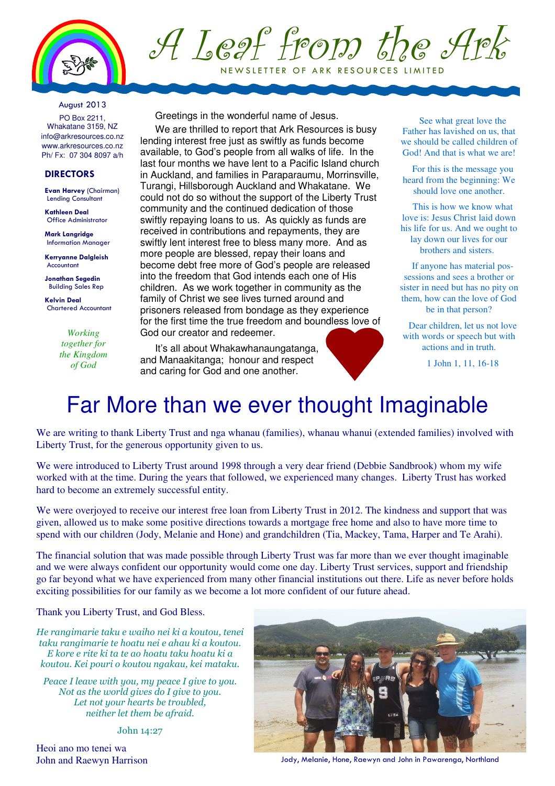

## A Leaf from the Ark NEW SLETTER OF ARK RESOURCES LIMITED

#### August 2013

PO Box 2211, Whakatane 3159, NZ info@arkresources.co.nz www.arkresources.co.nz Ph/ Fx: 07 304 8097 a/h

### **DIRECTORS**

Evan Harvey (Chairman) Lending Consultant

Kathleen Deal Office Administrator

Mark Langridge Information Manager

Kerryanne Dalgleish Accountant

Jonathan Segedin Building Sales Rep

Kelvin Deal Chartered Accountant

> *Working together for the Kingdom of God*

Greetings in the wonderful name of Jesus.

We are thrilled to report that Ark Resources is busy lending interest free just as swiftly as funds become available, to God's people from all walks of life. In the last four months we have lent to a Pacific Island church in Auckland, and families in Paraparaumu, Morrinsville, Turangi, Hillsborough Auckland and Whakatane. We could not do so without the support of the Liberty Trust community and the continued dedication of those swiftly repaying loans to us. As quickly as funds are received in contributions and repayments, they are swiftly lent interest free to bless many more. And as more people are blessed, repay their loans and become debt free more of God's people are released into the freedom that God intends each one of His children. As we work together in community as the family of Christ we see lives turned around and prisoners released from bondage as they experience for the first time the true freedom and boundless love of God our creator and redeemer.

It's all about Whakawhanaungatanga, and Manaakitanga; honour and respect and caring for God and one another.

See what great love the Father has lavished on us, that we should be called children of God! And that is what we are!

For this is the message you heard from the beginning: We should love one another.

This is how we know what love is: Jesus Christ laid down his life for us. And we ought to lay down our lives for our brothers and sisters.

If anyone has material possessions and sees a brother or sister in need but has no pity on them, how can the love of God be in that person?

Dear children, let us not love with words or speech but with actions and in truth.

1 John 1, 11, 16-18

### Far More than we ever thought Imaginable

We are writing to thank Liberty Trust and nga whanau (families), whanau whanui (extended families) involved with Liberty Trust, for the generous opportunity given to us.

We were introduced to Liberty Trust around 1998 through a very dear friend (Debbie Sandbrook) whom my wife worked with at the time. During the years that followed, we experienced many changes. Liberty Trust has worked hard to become an extremely successful entity.

We were overjoyed to receive our interest free loan from Liberty Trust in 2012. The kindness and support that was given, allowed us to make some positive directions towards a mortgage free home and also to have more time to spend with our children (Jody, Melanie and Hone) and grandchildren (Tia, Mackey, Tama, Harper and Te Arahi).

The financial solution that was made possible through Liberty Trust was far more than we ever thought imaginable and we were always confident our opportunity would come one day. Liberty Trust services, support and friendship go far beyond what we have experienced from many other financial institutions out there. Life as never before holds exciting possibilities for our family as we become a lot more confident of our future ahead.

Thank you Liberty Trust, and God Bless.

He rangimarie taku e waiho nei ki a koutou, tenei taku rangimarie te hoatu nei e ahau ki a koutou. E kore e rite ki ta te ao hoatu taku hoatu ki a koutou. Kei pouri o koutou ngakau, kei mataku.

Peace I leave with you, my peace I give to you. Not as the world gives do I give to you. Let not your hearts be troubled, neither let them be afraid.

John 14:27

Heoi ano mo tenei wa



John and Raewyn Harrison Jody, Melanie, Hone, Raewyn and John in Pawarenga, Northland